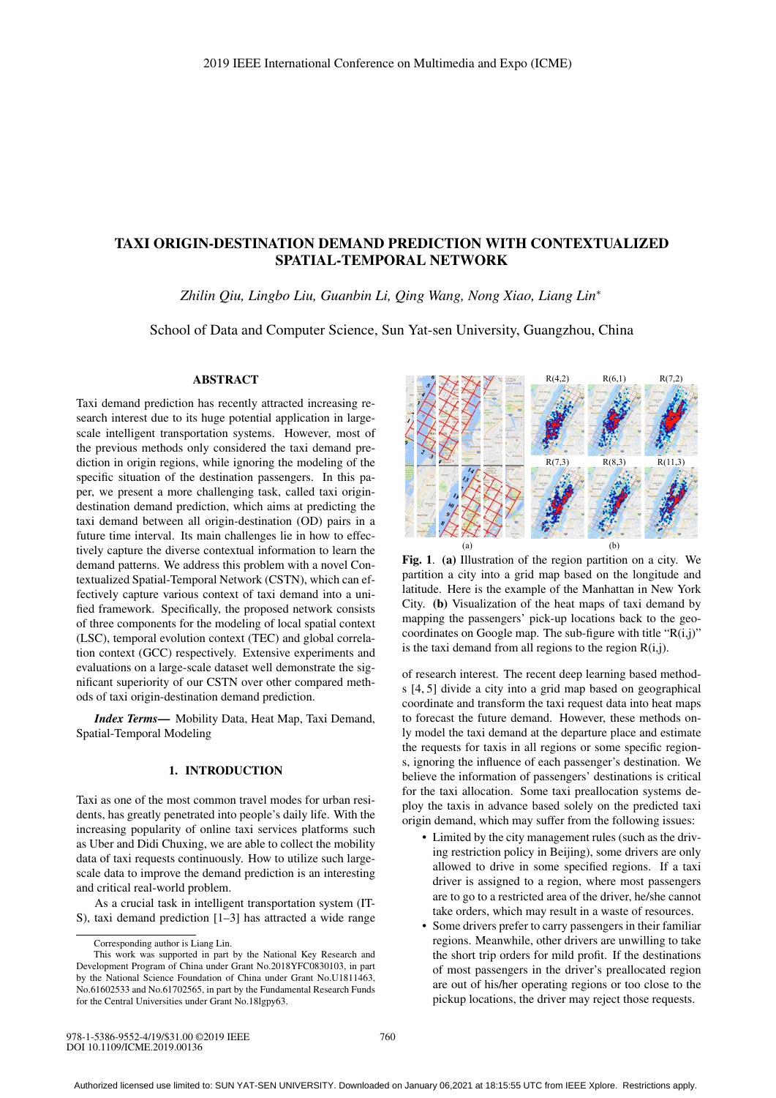# TAXI ORIGIN-DESTINATION DEMAND PREDICTION WITH CONTEXTUALIZED SPATIAL-TEMPORAL NETWORK

*Zhilin Qiu, Lingbo Liu, Guanbin Li, Qing Wang, Nong Xiao, Liang Lin*<sup>∗</sup>

School of Data and Computer Science, Sun Yat-sen University, Guangzhou, China

### ABSTRACT

Taxi demand prediction has recently attracted increasing research interest due to its huge potential application in largescale intelligent transportation systems. However, most of the previous methods only considered the taxi demand prediction in origin regions, while ignoring the modeling of the specific situation of the destination passengers. In this paper, we present a more challenging task, called taxi origindestination demand prediction, which aims at predicting the taxi demand between all origin-destination (OD) pairs in a future time interval. Its main challenges lie in how to effectively capture the diverse contextual information to learn the demand patterns. We address this problem with a novel Contextualized Spatial-Temporal Network (CSTN), which can effectively capture various context of taxi demand into a unified framework. Specifically, the proposed network consists of three components for the modeling of local spatial context (LSC), temporal evolution context (TEC) and global correlation context (GCC) respectively. Extensive experiments and evaluations on a large-scale dataset well demonstrate the significant superiority of our CSTN over other compared methods of taxi origin-destination demand prediction.

*Index Terms*— Mobility Data, Heat Map, Taxi Demand, Spatial-Temporal Modeling

### 1. INTRODUCTION

Taxi as one of the most common travel modes for urban residents, has greatly penetrated into people's daily life. With the increasing popularity of online taxi services platforms such as Uber and Didi Chuxing, we are able to collect the mobility data of taxi requests continuously. How to utilize such largescale data to improve the demand prediction is an interesting and critical real-world problem.

As a crucial task in intelligent transportation system (IT-S), taxi demand prediction [1–3] has attracted a wide range



Fig. 1. (a) Illustration of the region partition on a city. We partition a city into a grid map based on the longitude and latitude. Here is the example of the Manhattan in New York City. (b) Visualization of the heat maps of taxi demand by mapping the passengers' pick-up locations back to the geocoordinates on Google map. The sub-figure with title " $R(i,j)$ " is the taxi demand from all regions to the region  $R(i,j)$ .

of research interest. The recent deep learning based methods [4, 5] divide a city into a grid map based on geographical coordinate and transform the taxi request data into heat maps to forecast the future demand. However, these methods only model the taxi demand at the departure place and estimate the requests for taxis in all regions or some specific regions, ignoring the influence of each passenger's destination. We believe the information of passengers' destinations is critical for the taxi allocation. Some taxi preallocation systems deploy the taxis in advance based solely on the predicted taxi origin demand, which may suffer from the following issues:

- Limited by the city management rules (such as the driving restriction policy in Beijing), some drivers are only allowed to drive in some specified regions. If a taxi driver is assigned to a region, where most passengers are to go to a restricted area of the driver, he/she cannot take orders, which may result in a waste of resources.
- Some drivers prefer to carry passengers in their familiar regions. Meanwhile, other drivers are unwilling to take the short trip orders for mild profit. If the destinations of most passengers in the driver's preallocated region are out of his/her operating regions or too close to the pickup locations, the driver may reject those requests.

Corresponding author is Liang Lin.

This work was supported in part by the National Key Research and Development Program of China under Grant No.2018YFC0830103, in part by the National Science Foundation of China under Grant No.U1811463, No.61602533 and No.61702565, in part by the Fundamental Research Funds for the Central Universities under Grant No.18lgpy63.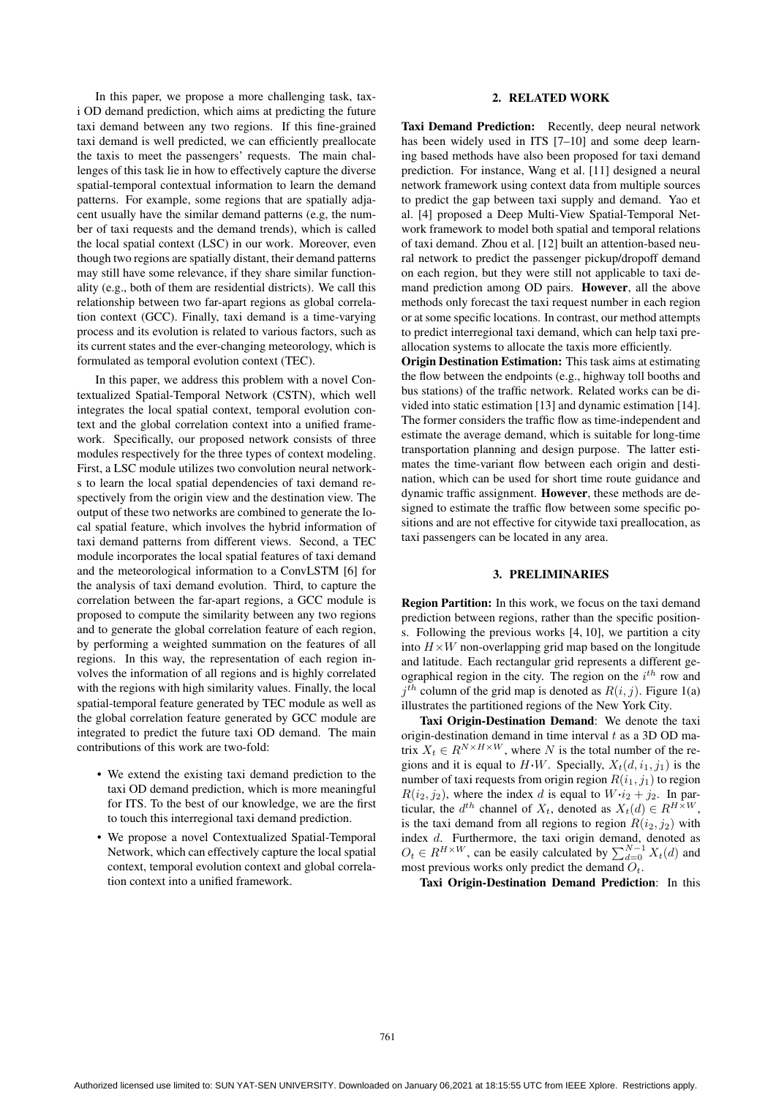In this paper, we propose a more challenging task, taxi OD demand prediction, which aims at predicting the future taxi demand between any two regions. If this fine-grained taxi demand is well predicted, we can efficiently preallocate the taxis to meet the passengers' requests. The main challenges of this task lie in how to effectively capture the diverse spatial-temporal contextual information to learn the demand patterns. For example, some regions that are spatially adjacent usually have the similar demand patterns (e.g, the number of taxi requests and the demand trends), which is called the local spatial context (LSC) in our work. Moreover, even though two regions are spatially distant, their demand patterns may still have some relevance, if they share similar functionality (e.g., both of them are residential districts). We call this relationship between two far-apart regions as global correlation context (GCC). Finally, taxi demand is a time-varying process and its evolution is related to various factors, such as its current states and the ever-changing meteorology, which is formulated as temporal evolution context (TEC).

In this paper, we address this problem with a novel Contextualized Spatial-Temporal Network (CSTN), which well integrates the local spatial context, temporal evolution context and the global correlation context into a unified framework. Specifically, our proposed network consists of three modules respectively for the three types of context modeling. First, a LSC module utilizes two convolution neural networks to learn the local spatial dependencies of taxi demand respectively from the origin view and the destination view. The output of these two networks are combined to generate the local spatial feature, which involves the hybrid information of taxi demand patterns from different views. Second, a TEC module incorporates the local spatial features of taxi demand and the meteorological information to a ConvLSTM [6] for the analysis of taxi demand evolution. Third, to capture the correlation between the far-apart regions, a GCC module is proposed to compute the similarity between any two regions and to generate the global correlation feature of each region, by performing a weighted summation on the features of all regions. In this way, the representation of each region involves the information of all regions and is highly correlated with the regions with high similarity values. Finally, the local spatial-temporal feature generated by TEC module as well as the global correlation feature generated by GCC module are integrated to predict the future taxi OD demand. The main contributions of this work are two-fold:

- We extend the existing taxi demand prediction to the taxi OD demand prediction, which is more meaningful for ITS. To the best of our knowledge, we are the first to touch this interregional taxi demand prediction.
- We propose a novel Contextualized Spatial-Temporal Network, which can effectively capture the local spatial context, temporal evolution context and global correlation context into a unified framework.

### 2. RELATED WORK

Taxi Demand Prediction: Recently, deep neural network has been widely used in ITS [7–10] and some deep learning based methods have also been proposed for taxi demand prediction. For instance, Wang et al. [11] designed a neural network framework using context data from multiple sources to predict the gap between taxi supply and demand. Yao et al. [4] proposed a Deep Multi-View Spatial-Temporal Network framework to model both spatial and temporal relations of taxi demand. Zhou et al. [12] built an attention-based neural network to predict the passenger pickup/dropoff demand on each region, but they were still not applicable to taxi demand prediction among OD pairs. However, all the above methods only forecast the taxi request number in each region or at some specific locations. In contrast, our method attempts to predict interregional taxi demand, which can help taxi preallocation systems to allocate the taxis more efficiently.

Origin Destination Estimation: This task aims at estimating the flow between the endpoints (e.g., highway toll booths and bus stations) of the traffic network. Related works can be divided into static estimation [13] and dynamic estimation [14]. The former considers the traffic flow as time-independent and estimate the average demand, which is suitable for long-time transportation planning and design purpose. The latter estimates the time-variant flow between each origin and destination, which can be used for short time route guidance and dynamic traffic assignment. However, these methods are designed to estimate the traffic flow between some specific positions and are not effective for citywide taxi preallocation, as taxi passengers can be located in any area.

### 3. PRELIMINARIES

Region Partition: In this work, we focus on the taxi demand prediction between regions, rather than the specific positions. Following the previous works [4, 10], we partition a city into  $H \times W$  non-overlapping grid map based on the longitude and latitude. Each rectangular grid represents a different geographical region in the city. The region on the  $i^{th}$  row and  $j<sup>th</sup>$  column of the grid map is denoted as  $R(i, j)$ . Figure 1(a) illustrates the partitioned regions of the New York City.

Taxi Origin-Destination Demand: We denote the taxi origin-destination demand in time interval  $t$  as a 3D OD matrix  $X_t \in R^{N \times H \times W}$ , where N is the total number of the regions and it is equal to  $H·W$ . Specially,  $X_t(d, i_1, i_1)$  is the number of taxi requests from origin region  $R(i_1, i_1)$  to region  $R(i_2, i_2)$ , where the index d is equal to  $W \cdot i_2 + i_2$ . In particular, the  $d^{th}$  channel of  $X_t$ , denoted as  $X_t(d) \in R^{H \times W}$ , is the taxi demand from all regions to region  $R(i_2, i_2)$  with index d. Furthermore, the taxi origin demand, denoted as  $O_t \in R^{H \times W}$ , can be easily calculated by  $\sum_{d=0}^{N-1} X_t(d)$  and most previous works only predict the demand  $O_t$ .

Taxi Origin-Destination Demand Prediction: In this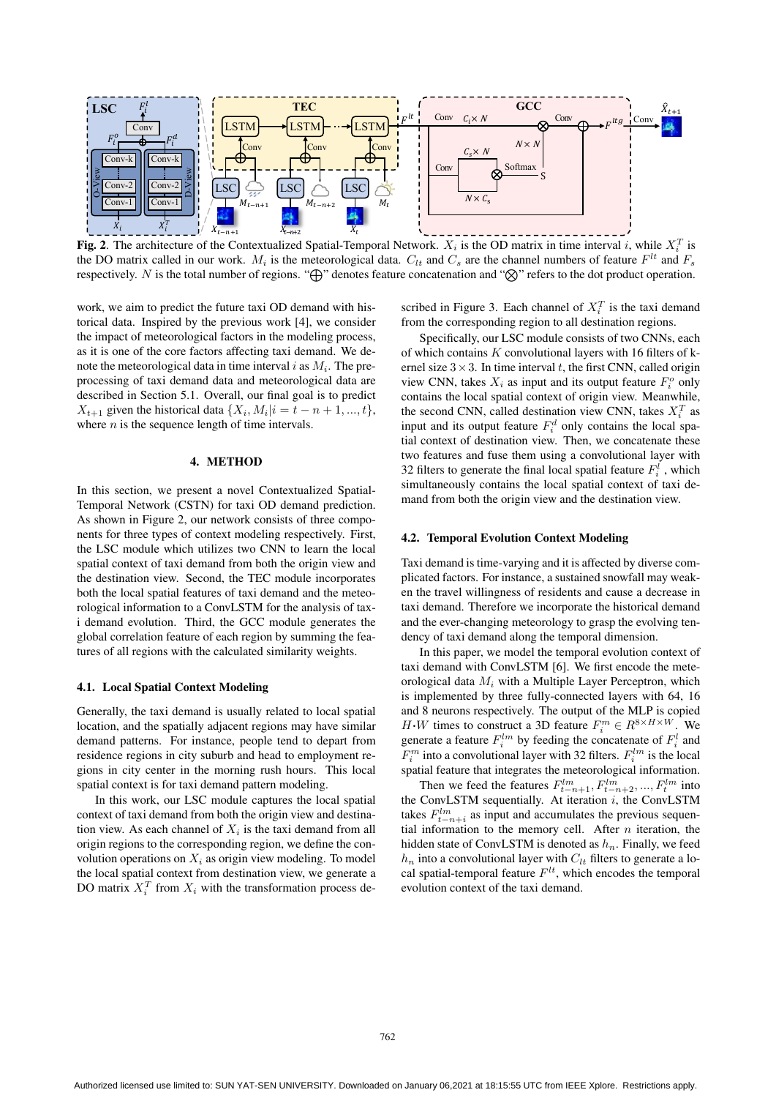

**Fig. 2**. The architecture of the Contextualized Spatial-Temporal Network.  $X_i$  is the OD matrix in time interval i, while  $X_i^T$  is the DO matrix called in our work.  $M_i$  is the meteorological data.  $C_{lt}$  and  $C_s$  are the channel numbers of feature  $F^{lt}$  and  $F_s$ respectively. N is the total number of regions. " $\bigoplus$ " denotes feature concatenation and " $\bigotimes$ " refers to the dot product operation.

work, we aim to predict the future taxi OD demand with historical data. Inspired by the previous work [4], we consider the impact of meteorological factors in the modeling process, as it is one of the core factors affecting taxi demand. We denote the meteorological data in time interval i as  $M_i$ . The preprocessing of taxi demand data and meteorological data are described in Section 5.1. Overall, our final goal is to predict  $X_{t+1}$  given the historical data  $\{X_i, M_i | i = t - n + 1, ..., t\},\$ where  $n$  is the sequence length of time intervals.

## 4. METHOD

In this section, we present a novel Contextualized Spatial-Temporal Network (CSTN) for taxi OD demand prediction. As shown in Figure 2, our network consists of three components for three types of context modeling respectively. First, the LSC module which utilizes two CNN to learn the local spatial context of taxi demand from both the origin view and the destination view. Second, the TEC module incorporates both the local spatial features of taxi demand and the meteorological information to a ConvLSTM for the analysis of taxi demand evolution. Third, the GCC module generates the global correlation feature of each region by summing the features of all regions with the calculated similarity weights.

#### 4.1. Local Spatial Context Modeling

Generally, the taxi demand is usually related to local spatial location, and the spatially adjacent regions may have similar demand patterns. For instance, people tend to depart from residence regions in city suburb and head to employment regions in city center in the morning rush hours. This local spatial context is for taxi demand pattern modeling.

In this work, our LSC module captures the local spatial context of taxi demand from both the origin view and destination view. As each channel of  $X_i$  is the taxi demand from all origin regions to the corresponding region, we define the convolution operations on  $X_i$  as origin view modeling. To model the local spatial context from destination view, we generate a DO matrix  $X_i^T$  from  $X_i$  with the transformation process described in Figure 3. Each channel of  $X_i^T$  is the taxi demand from the corresponding region to all destination regions.

Specifically, our LSC module consists of two CNNs, each of which contains  $K$  convolutional layers with 16 filters of kernel size  $3 \times 3$ . In time interval t, the first CNN, called origin view CNN, takes  $X_i$  as input and its output feature  $F_i^o$  only contains the local spatial context of origin view. Meanwhile, the second CNN, called destination view CNN, takes  $X_i^T$  as input and its output feature  $F_i^d$  only contains the local spatial context of destination view. Then, we concatenate these two features and fuse them using a convolutional layer with 32 filters to generate the final local spatial feature  $F_i^l$ , which simultaneously contains the local spatial context of taxi demand from both the origin view and the destination view.

### 4.2. Temporal Evolution Context Modeling

Taxi demand is time-varying and it is affected by diverse complicated factors. For instance, a sustained snowfall may weaken the travel willingness of residents and cause a decrease in taxi demand. Therefore we incorporate the historical demand and the ever-changing meteorology to grasp the evolving tendency of taxi demand along the temporal dimension.

In this paper, we model the temporal evolution context of taxi demand with ConvLSTM [6]. We first encode the meteorological data  $M_i$  with a Multiple Layer Perceptron, which is implemented by three fully-connected layers with 64, 16 and 8 neurons respectively. The output of the MLP is copied  $H \cdot W$  times to construct a 3D feature  $F_i^m \in R^{8 \times H \times W}$ . We generate a feature  $F_i^{lm}$  by feeding the concatenate of  $F_i^l$  and  $F_i^m$  into a convolutional layer with 32 filters.  $F_i^{lm}$  is the local spatial feature that integrates the meteorological information.

Then we feed the features  $F_{t-n+1}^{lm}, F_{t-n+2}^{lm}, \ldots, F_{t}^{lm}$  into the ConvLSTM sequentially. At iteration  $i$ , the ConvLSTM takes  $F_{t-n+i}^{lm}$  as input and accumulates the previous sequential information to the memory cell. After  $n$  iteration, the hidden state of ConvLSTM is denoted as  $h_n$ . Finally, we feed  $h_n$  into a convolutional layer with  $C_{lt}$  filters to generate a local spatial-temporal feature  $F^{lt}$ , which encodes the temporal evolution context of the taxi demand.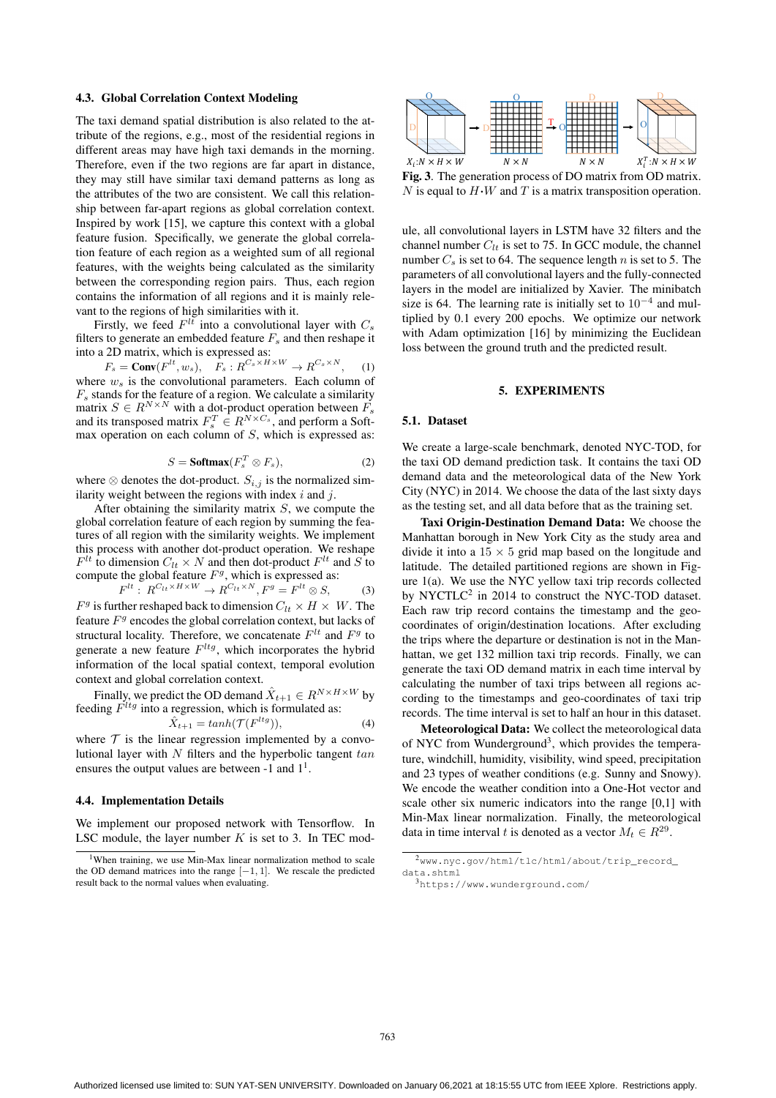#### 4.3. Global Correlation Context Modeling

The taxi demand spatial distribution is also related to the attribute of the regions, e.g., most of the residential regions in different areas may have high taxi demands in the morning. Therefore, even if the two regions are far apart in distance, they may still have similar taxi demand patterns as long as the attributes of the two are consistent. We call this relationship between far-apart regions as global correlation context. Inspired by work [15], we capture this context with a global feature fusion. Specifically, we generate the global correlation feature of each region as a weighted sum of all regional features, with the weights being calculated as the similarity between the corresponding region pairs. Thus, each region contains the information of all regions and it is mainly relevant to the regions of high similarities with it.

Firstly, we feed  $F^{l\bar{l}}$  into a convolutional layer with  $C_s$ filters to generate an embedded feature  $F_s$  and then reshape it into a 2D matrix, which is expressed as:

 $F_s = \text{Conv}(F^{lt}, w_s), \quad F_s: R^{C_s \times H \times W} \to R^{C_s \times N},$  (1) where  $w_s$  is the convolutional parameters. Each column of  $F<sub>s</sub>$  stands for the feature of a region. We calculate a similarity matrix  $S \in R^{N \times N}$  with a dot-product operation between  $F_s$ and its transposed matrix  $F_s^T \in R^{N \times C_s}$ , and perform a Softmax operation on each column of  $S$ , which is expressed as:

$$
S = \text{Softmax}(F_s^T \otimes F_s), \tag{2}
$$

where  $\otimes$  denotes the dot-product.  $S_{i,j}$  is the normalized similarity weight between the regions with index  $i$  and  $j$ .

After obtaining the similarity matrix  $S$ , we compute the global correlation feature of each region by summing the features of all region with the similarity weights. We implement this process with another dot-product operation. We reshape  $F^{lt}$  to dimension  $C_{lt} \times N$  and then dot-product  $F^{lt}$  and  $S$  to compute the global feature  $F<sup>g</sup>$ , which is expressed as:

$$
F^{lt}: R^{C_{lt} \times H \times W} \to R^{C_{lt} \times N}, F^g = F^{lt} \otimes S,
$$
 (3)

 $F<sup>g</sup>$  is further reshaped back to dimension  $C<sub>lt</sub> \times H \times W$ . The feature  $F<sup>g</sup>$  encodes the global correlation context, but lacks of structural locality. Therefore, we concatenate  $F^{lt}$  and  $F^g$  to generate a new feature  $F^{ltg}$ , which incorporates the hybrid information of the local spatial context, temporal evolution context and global correlation context.

Finally, we predict the OD demand  $\hat{X}_{t+1} \in R^{N \times H \times W}$  by feeding  $F^{ltg}$  into a regression, which is formulated as:

$$
\hat{X}_{t+1} = \tanh(\mathcal{T}(F^{ltg})),\tag{}
$$

 $\hat{X}_{t+1} = \tanh(\mathcal{T}(F^{ltg})),$ <br>where  $\mathcal{T}$  is the linear regression implemented by a convolutional layer with  $N$  filters and the hyperbolic tangent  $tan$ ensures the output values are between  $-1$  and  $1<sup>1</sup>$ .

#### 4.4. Implementation Details

We implement our proposed network with Tensorflow. In LSC module, the layer number  $K$  is set to 3. In TEC mod-



Fig. 3. The generation process of DO matrix from OD matrix.  $N$  is equal to  $H \cdot W$  and  $T$  is a matrix transposition operation.

ule, all convolutional layers in LSTM have 32 filters and the channel number  $C_{lt}$  is set to 75. In GCC module, the channel number  $C_s$  is set to 64. The sequence length n is set to 5. The parameters of all convolutional layers and the fully-connected layers in the model are initialized by Xavier. The minibatch size is 64. The learning rate is initially set to  $10^{-4}$  and multiplied by 0.1 every 200 epochs. We optimize our network with Adam optimization [16] by minimizing the Euclidean loss between the ground truth and the predicted result.

### 5. EXPERIMENTS

### 5.1. Dataset

We create a large-scale benchmark, denoted NYC-TOD, for the taxi OD demand prediction task. It contains the taxi OD demand data and the meteorological data of the New York City (NYC) in 2014. We choose the data of the last sixty days as the testing set, and all data before that as the training set.

Taxi Origin-Destination Demand Data: We choose the Manhattan borough in New York City as the study area and divide it into a  $15 \times 5$  grid map based on the longitude and latitude. The detailed partitioned regions are shown in Figure 1(a). We use the NYC yellow taxi trip records collected by NYCTLC<sup>2</sup> in 2014 to construct the NYC-TOD dataset. Each raw trip record contains the timestamp and the geocoordinates of origin/destination locations. After excluding the trips where the departure or destination is not in the Manhattan, we get 132 million taxi trip records. Finally, we can generate the taxi OD demand matrix in each time interval by calculating the number of taxi trips between all regions according to the timestamps and geo-coordinates of taxi trip records. The time interval is set to half an hour in this dataset.

Meteorological Data: We collect the meteorological data of NYC from Wunderground<sup>3</sup>, which provides the temperature, windchill, humidity, visibility, wind speed, precipitation and 23 types of weather conditions (e.g. Sunny and Snowy). We encode the weather condition into a One-Hot vector and scale other six numeric indicators into the range [0,1] with Min-Max linear normalization. Finally, the meteorological data in time interval t is denoted as a vector  $M_t \in R^{29}$ .

<sup>&</sup>lt;sup>1</sup>When training, we use Min-Max linear normalization method to scale the OD demand matrices into the range  $[-1, 1]$ . We rescale the predicted result back to the normal values when evaluating.

<sup>2</sup>www.nyc.gov/html/tlc/html/about/trip\_record\_ data.shtml

<sup>3</sup>https://www.wunderground.com/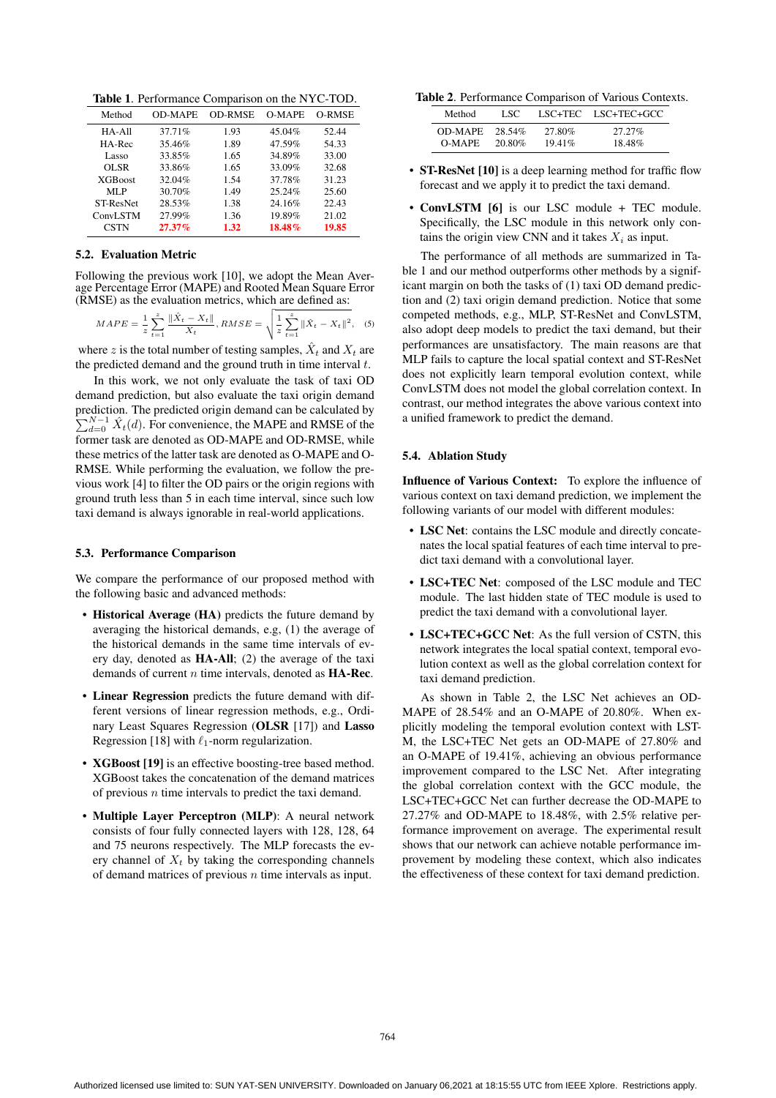Table 1. Performance Comparison on the NYC-TOD.

| Method         | <b>OD-MAPE</b> | <b>OD-RMSE</b> | $O-MAPE$ | <b>O-RMSE</b> |
|----------------|----------------|----------------|----------|---------------|
| $HA-All$       | 37.71%         | 1.93           | 45.04%   | 52.44         |
| HA-Rec         | 35.46%         | 1.89           | 47.59%   | 54.33         |
| Lasso          | 33.85%         | 1.65           | 34.89%   | 33.00         |
| OL SR          | 33.86%         | 1.65           | 33.09%   | 32.68         |
| <b>XGBoost</b> | 32.04%         | 1.54           | 37.78%   | 31.23         |
| MLP            | 30.70%         | 1.49           | 25.24%   | 25.60         |
| ST-ResNet      | 28.53%         | 1.38           | 24.16%   | 22.43         |
| ConvLSTM       | 27.99%         | 1.36           | 19.89%   | 21.02         |
| <b>CSTN</b>    | $27.37\%$      | 1.32           | 18.48%   | 19.85         |

### 5.2. Evaluation Metric

Following the previous work [10], we adopt the Mean Average Percentage Error (MAPE) and Rooted Mean Square Error (RMSE) as the evaluation metrics, which are defined as:

$$
MAPE = \frac{1}{z} \sum_{t=1}^{z} \frac{\|\hat{X}_t - X_t\|}{X_t}, RMSE = \sqrt{\frac{1}{z} \sum_{t=1}^{z} \|\hat{X}_t - X_t\|^2}, \quad (5)
$$

where z is the total number of testing samples,  $\hat{X}_t$  and  $X_t$  are the predicted demand and the ground truth in time interval  $t$ .

In this work, we not only evaluate the task of taxi OD demand prediction, but also evaluate the taxi origin demand prediction. The predicted origin demand can be calculated by  $\sum_{d=0}^{N-1} \hat{X}_t(d)$ . For convenience, the MAPE and RMSE of the former task are denoted as OD-MAPE and OD-RMSE, while these metrics of the latter task are denoted as O-MAPE and O-RMSE. While performing the evaluation, we follow the previous work [4] to filter the OD pairs or the origin regions with ground truth less than 5 in each time interval, since such low taxi demand is always ignorable in real-world applications.

### 5.3. Performance Comparison

We compare the performance of our proposed method with the following basic and advanced methods:

- Historical Average (HA) predicts the future demand by averaging the historical demands, e.g, (1) the average of the historical demands in the same time intervals of every day, denoted as HA-All; (2) the average of the taxi demands of current  $n$  time intervals, denoted as  $HA$ -Rec.
- Linear Regression predicts the future demand with different versions of linear regression methods, e.g., Ordinary Least Squares Regression (OLSR [17]) and Lasso Regression [18] with  $\ell_1$ -norm regularization.
- **XGBoost** [19] is an effective boosting-tree based method. XGBoost takes the concatenation of the demand matrices of previous n time intervals to predict the taxi demand.
- Multiple Layer Perceptron (MLP): A neural network consists of four fully connected layers with 128, 128, 64 and 75 neurons respectively. The MLP forecasts the every channel of  $X_t$  by taking the corresponding channels of demand matrices of previous  $n$  time intervals as input.

Table 2. Performance Comparison of Various Contexts.

| Method   | LSC.   |        | LSC+TEC LSC+TEC+GCC |
|----------|--------|--------|---------------------|
| OD-MAPE. | 28.54% | 27.80% | 27.27%              |
| $O-MAPE$ | 20.80% | 1941%  | 18.48%              |

- ST-ResNet [10] is a deep learning method for traffic flow forecast and we apply it to predict the taxi demand.
- ConvLSTM [6] is our LSC module + TEC module. Specifically, the LSC module in this network only contains the origin view CNN and it takes  $X_i$  as input.

The performance of all methods are summarized in Table 1 and our method outperforms other methods by a significant margin on both the tasks of (1) taxi OD demand prediction and (2) taxi origin demand prediction. Notice that some competed methods, e.g., MLP, ST-ResNet and ConvLSTM, also adopt deep models to predict the taxi demand, but their performances are unsatisfactory. The main reasons are that MLP fails to capture the local spatial context and ST-ResNet does not explicitly learn temporal evolution context, while ConvLSTM does not model the global correlation context. In contrast, our method integrates the above various context into a unified framework to predict the demand.

#### 5.4. Ablation Study

Influence of Various Context: To explore the influence of various context on taxi demand prediction, we implement the following variants of our model with different modules:

- LSC Net: contains the LSC module and directly concatenates the local spatial features of each time interval to predict taxi demand with a convolutional layer.
- LSC+TEC Net: composed of the LSC module and TEC module. The last hidden state of TEC module is used to predict the taxi demand with a convolutional layer.
- LSC+TEC+GCC Net: As the full version of CSTN, this network integrates the local spatial context, temporal evolution context as well as the global correlation context for taxi demand prediction.

As shown in Table 2, the LSC Net achieves an OD-MAPE of 28.54% and an O-MAPE of 20.80%. When explicitly modeling the temporal evolution context with LST-M, the LSC+TEC Net gets an OD-MAPE of 27.80% and an O-MAPE of 19.41%, achieving an obvious performance improvement compared to the LSC Net. After integrating the global correlation context with the GCC module, the LSC+TEC+GCC Net can further decrease the OD-MAPE to 27.27% and OD-MAPE to 18.48%, with 2.5% relative performance improvement on average. The experimental result shows that our network can achieve notable performance improvement by modeling these context, which also indicates the effectiveness of these context for taxi demand prediction.